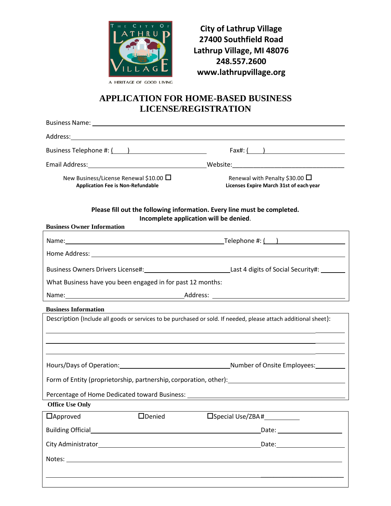

**City of Lathrup Village 27400 Southfield Road Lathrup Village, MI 48076 248.557.2600 www.lathrupvillage.org**

## **APPLICATION FOR HOME-BASED BUSINESS LICENSE/REGISTRATION**

|                                                                                                                                                                                                                                | Business Name: 1997 and 2008 and 2009 and 2009 and 2009 and 2009 and 2009 and 2009 and 2009 and 200 |                                                                                                                      |  |  |  |  |
|--------------------------------------------------------------------------------------------------------------------------------------------------------------------------------------------------------------------------------|-----------------------------------------------------------------------------------------------------|----------------------------------------------------------------------------------------------------------------------|--|--|--|--|
| Address: Address: Address: Address: Address: Address: Address: Address: Address: Address: Address: A                                                                                                                           |                                                                                                     |                                                                                                                      |  |  |  |  |
| Business Telephone #: ( )                                                                                                                                                                                                      |                                                                                                     | Fax#: $($ )                                                                                                          |  |  |  |  |
|                                                                                                                                                                                                                                |                                                                                                     |                                                                                                                      |  |  |  |  |
| New Business/License Renewal \$10.00 ∐<br><b>Application Fee is Non-Refundable</b>                                                                                                                                             |                                                                                                     | Renewal with Penalty \$30.00 $\Box$<br>Licenses Expire March 31st of each year                                       |  |  |  |  |
| Please fill out the following information. Every line must be completed.<br>Incomplete application will be denied.<br><b>Business Owner Information</b>                                                                        |                                                                                                     |                                                                                                                      |  |  |  |  |
|                                                                                                                                                                                                                                |                                                                                                     |                                                                                                                      |  |  |  |  |
|                                                                                                                                                                                                                                |                                                                                                     |                                                                                                                      |  |  |  |  |
|                                                                                                                                                                                                                                |                                                                                                     | Business Owners Drivers License#: _________________________________Last 4 digits of Social Security#: _______        |  |  |  |  |
| What Business have you been engaged in for past 12 months:                                                                                                                                                                     |                                                                                                     |                                                                                                                      |  |  |  |  |
|                                                                                                                                                                                                                                |                                                                                                     |                                                                                                                      |  |  |  |  |
| <b>Business Information</b>                                                                                                                                                                                                    |                                                                                                     |                                                                                                                      |  |  |  |  |
| Description (Include all goods or services to be purchased or sold. If needed, please attach additional sheet):                                                                                                                |                                                                                                     |                                                                                                                      |  |  |  |  |
|                                                                                                                                                                                                                                |                                                                                                     |                                                                                                                      |  |  |  |  |
|                                                                                                                                                                                                                                |                                                                                                     | <u> 1989 - Andrea Santa Andrea Santa Andrea Santa Andrea Santa Andrea Santa Andrea Santa Andrea Santa Andrea San</u> |  |  |  |  |
|                                                                                                                                                                                                                                |                                                                                                     | Hours/Days of Operation: 1990 100 Million 2010 10:00 Number of Onsite Employees:                                     |  |  |  |  |
| Form of Entity (proprietorship, partnership, corporation, other): [11] [2012] [2012] [2012] [2012] [2012] [2013] [2013] [2013] [2014] [2014] [2014] [2014] [2014] [2014] [2014] [2014] [2014] [2014] [2014] [2014] [2014] [201 |                                                                                                     |                                                                                                                      |  |  |  |  |
|                                                                                                                                                                                                                                |                                                                                                     | Percentage of Home Dedicated toward Business: __________________________________                                     |  |  |  |  |
| <b>Office Use Only</b>                                                                                                                                                                                                         |                                                                                                     |                                                                                                                      |  |  |  |  |
| $\Box$ Approved                                                                                                                                                                                                                | <b>ODenied</b>                                                                                      | □Special Use/ZBA#                                                                                                    |  |  |  |  |
|                                                                                                                                                                                                                                |                                                                                                     | Date: _______________________                                                                                        |  |  |  |  |
|                                                                                                                                                                                                                                |                                                                                                     |                                                                                                                      |  |  |  |  |
|                                                                                                                                                                                                                                |                                                                                                     |                                                                                                                      |  |  |  |  |
|                                                                                                                                                                                                                                |                                                                                                     |                                                                                                                      |  |  |  |  |